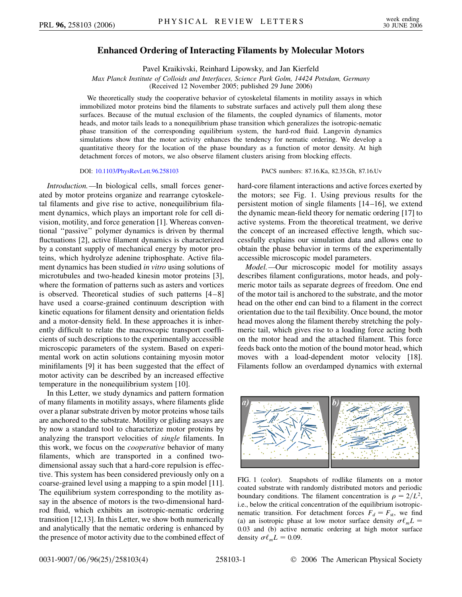## **Enhanced Ordering of Interacting Filaments by Molecular Motors**

Pavel Kraikivski, Reinhard Lipowsky, and Jan Kierfeld

*Max Planck Institute of Colloids and Interfaces, Science Park Golm, 14424 Potsdam, Germany* (Received 12 November 2005; published 29 June 2006)

We theoretically study the cooperative behavior of cytoskeletal filaments in motility assays in which immobilized motor proteins bind the filaments to substrate surfaces and actively pull them along these surfaces. Because of the mutual exclusion of the filaments, the coupled dynamics of filaments, motor heads, and motor tails leads to a nonequilibrium phase transition which generalizes the isotropic-nematic phase transition of the corresponding equilibrium system, the hard-rod fluid. Langevin dynamics simulations show that the motor activity enhances the tendency for nematic ordering. We develop a quantitative theory for the location of the phase boundary as a function of motor density. At high detachment forces of motors, we also observe filament clusters arising from blocking effects.

*Introduction.—*In biological cells, small forces generated by motor proteins organize and rearrange cytoskeletal filaments and give rise to active, nonequilibrium filament dynamics, which plays an important role for cell division, motility, and force generation [1]. Whereas conventional ''passive'' polymer dynamics is driven by thermal fluctuations [2], active filament dynamics is characterized by a constant supply of mechanical energy by motor proteins, which hydrolyze adenine triphosphate. Active filament dynamics has been studied *in vitro* using solutions of microtubules and two-headed kinesin motor proteins [3], where the formation of patterns such as asters and vortices is observed. Theoretical studies of such patterns [4–8] have used a coarse-grained continuum description with kinetic equations for filament density and orientation fields and a motor-density field. In these approaches it is inherently difficult to relate the macroscopic transport coefficients of such descriptions to the experimentally accessible microscopic parameters of the system. Based on experimental work on actin solutions containing myosin motor minifilaments [9] it has been suggested that the effect of motor activity can be described by an increased effective temperature in the nonequilibrium system [10].

In this Letter, we study dynamics and pattern formation of many filaments in motility assays, where filaments glide over a planar substrate driven by motor proteins whose tails are anchored to the substrate. Motility or gliding assays are by now a standard tool to characterize motor proteins by analyzing the transport velocities of *single* filaments. In this work, we focus on the *cooperative* behavior of many filaments, which are transported in a confined twodimensional assay such that a hard-core repulsion is effective. This system has been considered previously only on a coarse-grained level using a mapping to a spin model [11]. The equilibrium system corresponding to the motility assay in the absence of motors is the two-dimensional hardrod fluid, which exhibits an isotropic-nematic ordering transition [12,13]. In this Letter, we show both numerically and analytically that the nematic ordering is enhanced by the presence of motor activity due to the combined effect of

## DOI: [10.1103/PhysRevLett.96.258103](http://dx.doi.org/10.1103/PhysRevLett.96.258103) PACS numbers: 87.16.Ka, 82.35.Gh, 87.16.Uv

hard-core filament interactions and active forces exerted by the motors; see Fig. 1. Using previous results for the persistent motion of single filaments [14–16], we extend the dynamic mean-field theory for nematic ordering [17] to active systems. From the theoretical treatment, we derive the concept of an increased effective length, which successfully explains our simulation data and allows one to obtain the phase behavior in terms of the experimentally accessible microscopic model parameters.

*Model.—*Our microscopic model for motility assays describes filament configurations, motor heads, and polymeric motor tails as separate degrees of freedom. One end of the motor tail is anchored to the substrate, and the motor head on the other end can bind to a filament in the correct orientation due to the tail flexibility. Once bound, the motor head moves along the filament thereby stretching the polymeric tail, which gives rise to a loading force acting both on the motor head and the attached filament. This force feeds back onto the motion of the bound motor head, which moves with a load-dependent motor velocity [18]. Filaments follow an overdamped dynamics with external



FIG. 1 (color). Snapshots of rodlike filaments on a motor coated substrate with randomly distributed motors and periodic boundary conditions. The filament concentration is  $\rho = 2/L^2$ , i.e., below the critical concentration of the equilibrium isotropicnematic transition. For detachment forces  $F_d = F_{st}$ , we find (a) an isotropic phase at low motor surface density  $\sigma \ell_m L =$ 0*:*03 and (b) active nematic ordering at high motor surface density  $\sigma \ell_m L = 0.09$ .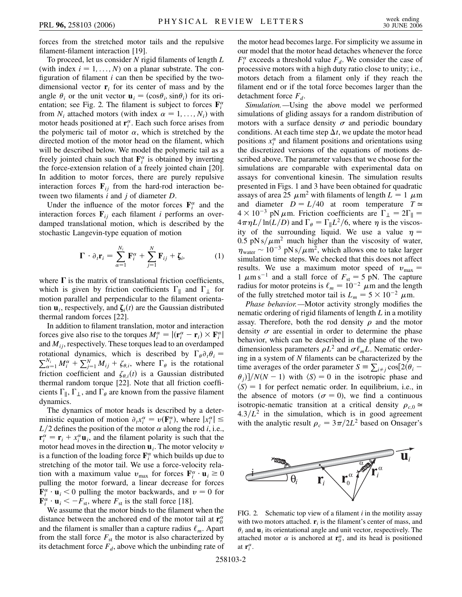forces from the stretched motor tails and the repulsive filament-filament interaction [19].

To proceed, let us consider *N* rigid filaments of length *L* (with index  $i = 1, \ldots, N$ ) on a planar substrate. The configuration of filament *i* can then be specified by the twodimensional vector  $\mathbf{r}_i$  for its center of mass and by the angle  $\theta_i$  or the unit vector  $\mathbf{u}_i = (\cos \theta_i, \sin \theta_i)$  for its orientation; see Fig. 2. The filament is subject to forces  $\mathbf{F}_i^{\alpha}$ from  $N_i$  attached motors (with index  $\alpha = 1, \ldots, N_i$ ) with motor heads positioned at  $\mathbf{r}_i^{\alpha}$ . Each such force arises from the polymeric tail of motor  $\alpha$ , which is stretched by the directed motion of the motor head on the filament, which will be described below. We model the polymeric tail as a freely jointed chain such that  $\mathbf{F}_i^{\alpha}$  is obtained by inverting the force-extension relation of a freely jointed chain [20]. In addition to motor forces, there are purely repulsive interaction forces  $\mathbf{F}_{ij}$  from the hard-rod interaction between two filaments *i* and *j* of diameter *D*.

Under the influence of the motor forces  $\mathbf{F}_i^{\alpha}$  and the interaction forces  $\mathbf{F}_{ij}$  each filament *i* performs an overdamped translational motion, which is described by the stochastic Langevin-type equation of motion

$$
\mathbf{\Gamma} \cdot \partial_t \mathbf{r}_i = \sum_{\alpha=1}^{N_i} \mathbf{F}_i^{\alpha} + \sum_{j=1}^{N} \mathbf{F}_{ij} + \zeta_i, \qquad (1)
$$

where  $\Gamma$  is the matrix of translational friction coefficients, which is given by friction coefficients  $\Gamma_{\parallel}$  and  $\Gamma_{\perp}$  for motion parallel and perpendicular to the filament orientation  $\mathbf{u}_i$ , respectively, and  $\zeta_i(t)$  are the Gaussian distributed thermal random forces [22].

In addition to filament translation, motor and interaction forces give also rise to the torques  $M_i^{\alpha} = |(\mathbf{r}_i^{\alpha} - \mathbf{r}_i) \times \mathbf{F}_i^{\alpha}|$ and *Mij*, respectively. These torques lead to an overdamped rotational dynamics, which is described by  $\Gamma_{\theta} \partial_{i} \theta_{i} =$  $\frac{N_i}{\alpha-1} M_i^{\alpha} + \sum_{j=1}^N M_{ij} + \zeta_{\theta,i}$ , where  $\Gamma_{\theta}$  is the rotational friction coefficient and  $\zeta_{\theta,i}(t)$  is a Gaussian distributed thermal random torque [22]. Note that all friction coefficients  $\Gamma_{\parallel}$ ,  $\Gamma_{\perp}$ , and  $\Gamma_{\theta}$  are known from the passive filament dynamics.

The dynamics of motor heads is described by a deterministic equation of motion  $\partial_t x_i^{\alpha} = v(\mathbf{F}_i^{\alpha})$ , where  $|x_i^{\alpha}| \leq$  $L/2$  defines the position of the motor  $\alpha$  along the rod *i*, i.e.,  $\mathbf{r}^{\alpha}_{i} = \mathbf{r}_{i} + x^{\alpha}_{i} \mathbf{u}_{i}$ , and the filament polarity is such that the motor head moves in the direction  $\mathbf{u}_i$ . The motor velocity  $\nu$ is a function of the loading force  $\mathbf{F}_i^{\alpha}$  which builds up due to stretching of the motor tail. We use a force-velocity relation with a maximum value  $v_{\text{max}}$  for forces  $\mathbf{F}_i^{\alpha} \cdot \mathbf{u}_i \ge 0$ pulling the motor forward, a linear decrease for forces  $\mathbf{F}_i^{\alpha} \cdot \mathbf{u}_i \leq 0$  pulling the motor backwards, and  $v = 0$  for  $\mathbf{F}_i^{\alpha} \cdot \mathbf{u}_i \leq -F_{\text{st}}$ , where  $F_{\text{st}}$  is the stall force [18].

We assume that the motor binds to the filament when the distance between the anchored end of the motor tail at  $\mathbf{r}_0^{\alpha}$ and the filament is smaller than a capture radius  $\ell_m$ . Apart from the stall force  $F_{st}$  the motor is also characterized by its detachment force  $F_d$ , above which the unbinding rate of the motor head becomes large. For simplicity we assume in our model that the motor head detaches whenever the force  $F_i^{\alpha}$  exceeds a threshold value  $F_d$ . We consider the case of processive motors with a high duty ratio close to unity; i.e., motors detach from a filament only if they reach the filament end or if the total force becomes larger than the detachment force  $F_d$ .

*Simulation.—*Using the above model we performed simulations of gliding assays for a random distribution of motors with a surface density  $\sigma$  and periodic boundary conditions. At each time step  $\Delta t$ , we update the motor head positions  $x_i^{\alpha}$  and filament positions and orientations using the discretized versions of the equations of motions described above. The parameter values that we choose for the simulations are comparable with experimental data on assays for conventional kinesin. The simulation results presented in Figs. 1 and 3 have been obtained for quadratic assays of area 25  $\mu$ m<sup>2</sup> with filaments of length  $L = 1$   $\mu$ m and diameter  $D = L/40$  at room temperature  $T \approx$  $4 \times 10^{-3}$  pN  $\mu$ m. Friction coefficients are  $\Gamma_{\perp} = 2\Gamma_{\parallel} =$  $4\pi\eta L/\ln(L/D)$  and  $\Gamma_{\theta} = \Gamma_{\parallel} L^2/6$ , where  $\eta$  is the viscosity of the surrounding liquid. We use a value  $\eta =$ 0.5 pN s/ $\mu$ m<sup>2</sup> much higher than the viscosity of water,  $\eta_{\text{water}} \sim 10^{-3} \text{ pN s}/\mu \text{m}^2$ , which allows one to take larger simulation time steps. We checked that this does not affect results. We use a maximum motor speed of  $v_{\text{max}} =$ 1  $\mu$ m s<sup>-1</sup> and a stall force of  $F_{\text{st}} = 5$  pN. The capture radius for motor proteins is  $\ell_m = 10^{-2} \mu m$  and the length of the fully stretched motor tail is  $L_m = 5 \times 10^{-2} \mu \text{m}$ .

*Phase behavior.—*Motor activity strongly modifies the nematic ordering of rigid filaments of length *L* in a motility assay. Therefore, both the rod density  $\rho$  and the motor density  $\sigma$  are essential in order to determine the phase behavior, which can be described in the plane of the two dimensionless parameters  $\rho L^2$  and  $\sigma \ell_m L$ . Nematic ordering in a system of *N* filaments can be characterized by the time averages of the order parameter  $S = \sum_{i \neq j} \cos[2(\theta_i \theta_j$ )  $N(N-1)$  with  $\langle S \rangle = 0$  in the isotropic phase and  $\langle S \rangle = 1$  for perfect nematic order. In equilibrium, i.e., in the absence of motors ( $\sigma = 0$ ), we find a continuous isotropic-nematic transition at a critical density  $\rho_{c,0} \simeq$  $4.3/L<sup>2</sup>$  in the simulation, which is in good agreement with the analytic result  $\rho_c = 3\pi/2L^2$  based on Onsager's



FIG. 2. Schematic top view of a filament *i* in the motility assay with two motors attached.  $\mathbf{r}_i$  is the filament's center of mass, and  $\theta_i$  and  $\mathbf{u}_i$  its orientational angle and unit vector, respectively. The attached motor  $\alpha$  is anchored at  $\mathbf{r}_0^{\alpha}$ , and its head is positioned at  $\mathbf{r}_i^{\alpha}$ .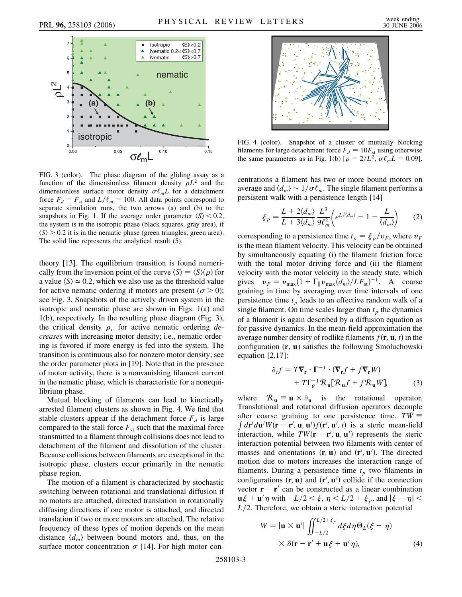

FIG. 3 (color). The phase diagram of the gliding assay as a function of the dimensionless filament density  $\rho L^2$  and the dimensionless surface motor density  $\sigma \ell_m L$  for a detachment force  $F_d = F_{st}$  and  $L/\ell_m = 100$ . All data points correspond to separate simulation runs, the two arrows (a) and (b) to the snapshots in Fig. 1. If the average order parameter  $\langle S \rangle$  < 0.2, the system is in the isotropic phase (black squares, gray area), if  $\langle S \rangle$  > 0.2 it is in the nematic phase (green triangles, green area). The solid line represents the analytical result (5).

theory [13]. The equilibrium transition is found numerically from the inversion point of the curve  $\langle S \rangle = \langle S \rangle(\rho)$  for a value  $\langle S \rangle \simeq 0.2$ , which we also use as the threshold value for active nematic ordering if motors are present ( $\sigma$  > 0); see Fig. 3. Snapshots of the actively driven system in the isotropic and nematic phase are shown in Figs. 1(a) and 1(b), respectively. In the resulting phase diagram (Fig. 3), the critical density  $\rho_c$  for active nematic ordering *decreases* with increasing motor density; i.e., nematic ordering is favored if more energy is fed into the system. The transition is continuous also for nonzero motor density; see the order parameter plots in [19]. Note that in the presence of motor activity, there is a nonvanishing filament current in the nematic phase, which is characteristic for a nonequilibrium phase.

Mutual blocking of filaments can lead to kinetically arrested filament clusters as shown in Fig. 4. We find that stable clusters appear if the detachment force  $F_d$  is large compared to the stall force  $F_{st}$  such that the maximal force transmitted to a filament through collisions does not lead to detachment of the filament and dissolution of the cluster. Because collisions between filaments are exceptional in the isotropic phase, clusters occur primarily in the nematic phase region.

The motion of a filament is characterized by stochastic switching between rotational and translational diffusion if no motors are attached, directed translation in rotationally diffusing directions if one motor is attached, and directed translation if two or more motors are attached. The relative frequency of these types of motion depends on the mean distance  $\langle d_m \rangle$  between bound motors and, thus, on the surface motor concentration  $\sigma$  [14]. For high motor con-



FIG. 4 (color). Snapshot of a cluster of mutually blocking filaments for large detachment force  $F_d = 10F_{\text{st}}$  using otherwise the same parameters as in Fig. 1(b)  $[\rho = 2/L^2, \sigma \ell_m L = 0.09]$ .

centrations a filament has two or more bound motors on average and  $\langle d_m \rangle \sim 1/\sigma \ell_m$ . The single filament performs a persistent walk with a persistence length [14]

$$
\xi_p = \frac{L + 2\langle d_m \rangle}{L + 3\langle d_m \rangle} \frac{L^3}{9\ell_m^2} \left( e^{L/\langle d_m \rangle} - 1 - \frac{L}{\langle d_m \rangle} \right) \tag{2}
$$

corresponding to a persistence time  $t_p = \xi_p/v_F$ , where  $v_F$ is the mean filament velocity. This velocity can be obtained by simultaneously equating (i) the filament friction force with the total motor driving force and (ii) the filament velocity with the motor velocity in the steady state, which gives  $v_F = v_{\text{max}}(1 + \Gamma_{\parallel} v_{\text{max}} \langle d_m \rangle / L F_{\text{st}})^{-1}$ . A coarse graining in time by averaging over time intervals of one persistence time  $t_p$  leads to an effective random walk of a single filament. On time scales larger than  $t_p$  the dynamics of a filament is again described by a diffusion equation as for passive dynamics. In the mean-field approximation the average number density of rodlike filaments  $f(\mathbf{r}, \mathbf{u}, t)$  in the configuration (**r**, **u**) satisfies the following Smoluchowski equation [2,17]:

$$
\partial_t f = T \nabla_{\mathbf{r}} \cdot \mathbf{\Gamma}^{-1} \cdot (\nabla_{\mathbf{r}} f + f \nabla_{\mathbf{r}} \bar{W}) + T \Gamma_{\theta}^{-1} \mathcal{R}_{\mathbf{u}} [\mathcal{R}_{\mathbf{u}} f + f \mathcal{R}_{\mathbf{u}} \bar{W}],
$$
(3)

where  $\mathcal{R}_{\mathbf{u}} \equiv \mathbf{u} \times \partial_{\mathbf{u}}$  is the rotational operator. Translational and rotational diffusion operators decouple after coarse graining to one persistence time.  $T\overline{W} \equiv \int d\mathbf{r}' d\mathbf{u}' W(\mathbf{r} - \mathbf{r}', \mathbf{u}, \mathbf{u}') f(\mathbf{r}', \mathbf{u}', t)$  is a steric mean-field interaction, while  $TW(\mathbf{r} - \mathbf{r}', \mathbf{u}, \mathbf{u}')$  represents the steric interaction potential between two filaments with center of masses and orientations  $(\mathbf{r}, \mathbf{u})$  and  $(\mathbf{r}', \mathbf{u}')$ . The directed motion due to motors increases the interaction range of filaments. During a persistence time  $t_p$  two filaments in configurations  $(\mathbf{r}, \mathbf{u})$  and  $(\mathbf{r}', \mathbf{u}')$  collide if the connection vector  $\mathbf{r} - \mathbf{r}'$  can be constructed as a linear combination  $\mathbf{u}\xi + \mathbf{u}'\eta$  with  $-L/2 < \xi$ ,  $\eta < L/2 + \xi_p$ , and  $|\xi - \eta| <$  $L/2$ . Therefore, we obtain a steric interaction potential

$$
W = |\mathbf{u} \times \mathbf{u}'| \iint_{-L/2}^{L/2 + \xi_p} d\xi d\eta \Theta_L(\xi - \eta)
$$
  
 
$$
\times \delta(\mathbf{r} - \mathbf{r}' + \mathbf{u}\xi + \mathbf{u}'\eta), \tag{4}
$$